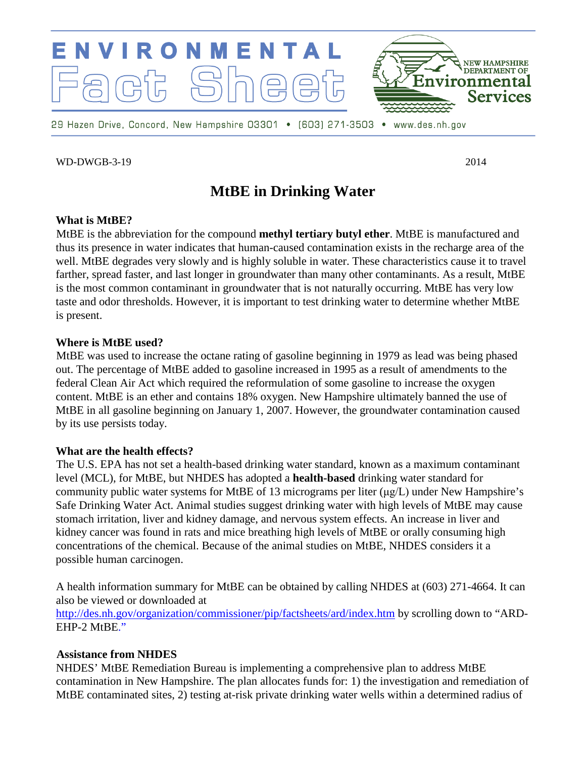

WD-DWGB-3-19 2014

# **MtBE in Drinking Water**

#### **What is MtBE?**

MtBE is the abbreviation for the compound **methyl tertiary butyl ether**. MtBE is manufactured and thus its presence in water indicates that human-caused contamination exists in the recharge area of the well. MtBE degrades very slowly and is highly soluble in water. These characteristics cause it to travel farther, spread faster, and last longer in groundwater than many other contaminants. As a result, MtBE is the most common contaminant in groundwater that is not naturally occurring. MtBE has very low taste and odor thresholds. However, it is important to test drinking water to determine whether MtBE is present.

#### **Where is MtBE used?**

MtBE was used to increase the octane rating of gasoline beginning in 1979 as lead was being phased out. The percentage of MtBE added to gasoline increased in 1995 as a result of amendments to the federal Clean Air Act which required the reformulation of some gasoline to increase the oxygen content. MtBE is an ether and contains 18% oxygen. New Hampshire ultimately banned the use of MtBE in all gasoline beginning on January 1, 2007. However, the groundwater contamination caused by its use persists today.

#### **What are the health effects?**

The U.S. EPA has not set a health-based drinking water standard, known as a maximum contaminant level (MCL), for MtBE, but NHDES has adopted a **health-based** drinking water standard for community public water systems for MtBE of 13 micrograms per liter (μg/L) under New Hampshire's Safe Drinking Water Act. Animal studies suggest drinking water with high levels of MtBE may cause stomach irritation, liver and kidney damage, and nervous system effects. An increase in liver and kidney cancer was found in rats and mice breathing high levels of MtBE or orally consuming high concentrations of the chemical. Because of the animal studies on MtBE, NHDES considers it a possible human carcinogen.

A health information summary for MtBE can be obtained by calling NHDES at (603) 271-4664. It can also be viewed or downloaded at <http://des.nh.gov/organization/commissioner/pip/factsheets/ard/index.htm> by scrolling down to "ARD-EHP-2 MtBE."

#### **Assistance from NHDES**

NHDES' MtBE Remediation Bureau is implementing a comprehensive plan to address MtBE contamination in New Hampshire. The plan allocates funds for: 1) the investigation and remediation of MtBE contaminated sites, 2) testing at-risk private drinking water wells within a determined radius of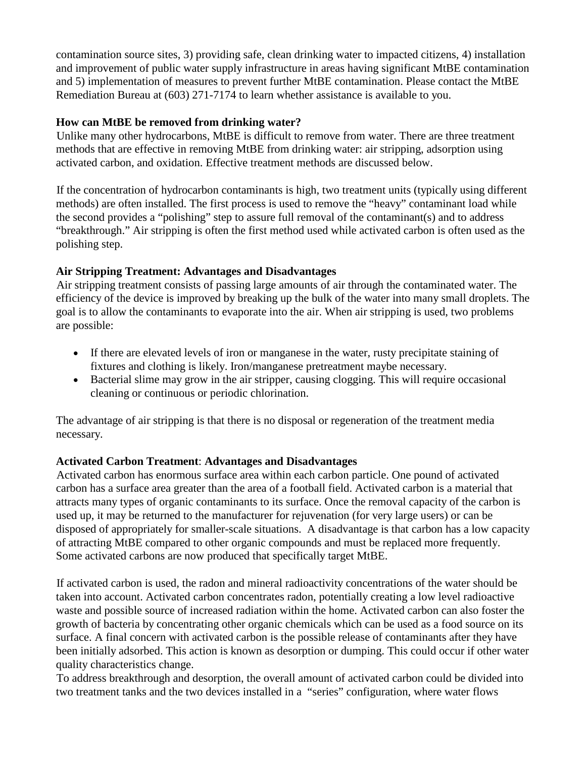contamination source sites, 3) providing safe, clean drinking water to impacted citizens, 4) installation and improvement of public water supply infrastructure in areas having significant MtBE contamination and 5) implementation of measures to prevent further MtBE contamination. Please contact the MtBE Remediation Bureau at (603) 271-7174 to learn whether assistance is available to you.

### **How can MtBE be removed from drinking water?**

Unlike many other hydrocarbons, MtBE is difficult to remove from water. There are three treatment methods that are effective in removing MtBE from drinking water: air stripping, adsorption using activated carbon, and oxidation. Effective treatment methods are discussed below.

If the concentration of hydrocarbon contaminants is high, two treatment units (typically using different methods) are often installed. The first process is used to remove the "heavy" contaminant load while the second provides a "polishing" step to assure full removal of the contaminant(s) and to address "breakthrough." Air stripping is often the first method used while activated carbon is often used as the polishing step.

## **Air Stripping Treatment: Advantages and Disadvantages**

Air stripping treatment consists of passing large amounts of air through the contaminated water. The efficiency of the device is improved by breaking up the bulk of the water into many small droplets. The goal is to allow the contaminants to evaporate into the air. When air stripping is used, two problems are possible:

- If there are elevated levels of iron or manganese in the water, rusty precipitate staining of fixtures and clothing is likely. Iron/manganese pretreatment maybe necessary.
- Bacterial slime may grow in the air stripper, causing clogging. This will require occasional cleaning or continuous or periodic chlorination.

The advantage of air stripping is that there is no disposal or regeneration of the treatment media necessary.

# **Activated Carbon Treatment**: **Advantages and Disadvantages**

Activated carbon has enormous surface area within each carbon particle. One pound of activated carbon has a surface area greater than the area of a football field. Activated carbon is a material that attracts many types of organic contaminants to its surface. Once the removal capacity of the carbon is used up, it may be returned to the manufacturer for rejuvenation (for very large users) or can be disposed of appropriately for smaller-scale situations. A disadvantage is that carbon has a low capacity of attracting MtBE compared to other organic compounds and must be replaced more frequently. Some activated carbons are now produced that specifically target MtBE.

If activated carbon is used, the radon and mineral radioactivity concentrations of the water should be taken into account. Activated carbon concentrates radon, potentially creating a low level radioactive waste and possible source of increased radiation within the home. Activated carbon can also foster the growth of bacteria by concentrating other organic chemicals which can be used as a food source on its surface. A final concern with activated carbon is the possible release of contaminants after they have been initially adsorbed. This action is known as desorption or dumping. This could occur if other water quality characteristics change.

To address breakthrough and desorption, the overall amount of activated carbon could be divided into two treatment tanks and the two devices installed in a "series" configuration, where water flows